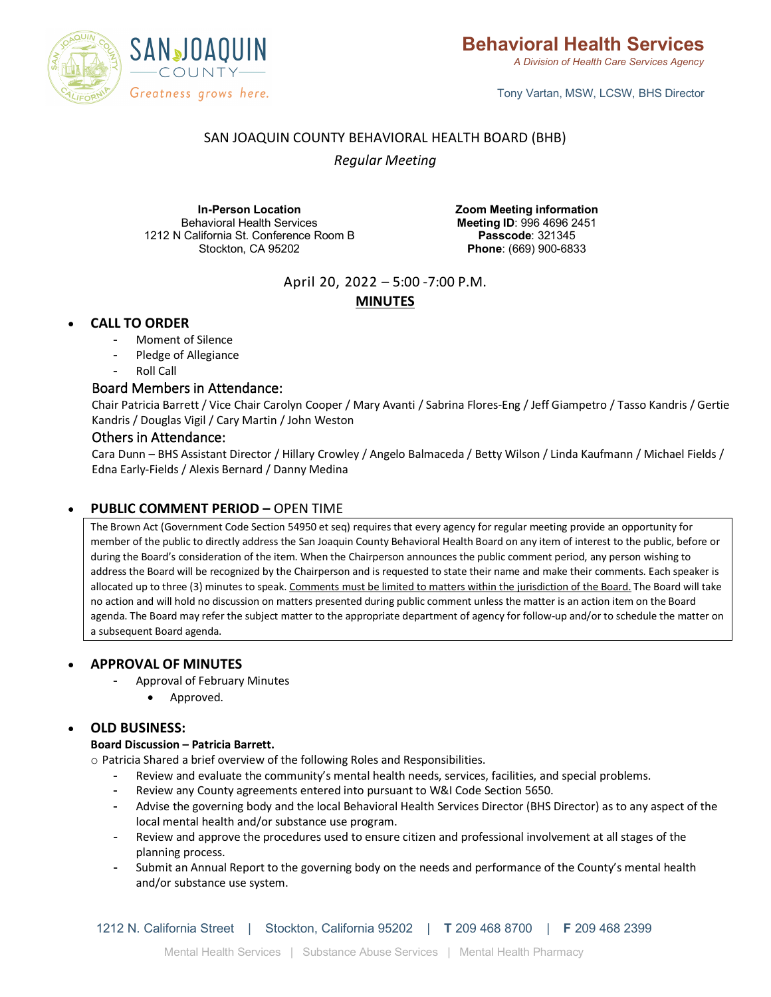

*A Division of Health Care Services Agency*

Tony Vartan, MSW, LCSW, BHS Director

# SAN JOAQUIN COUNTY BEHAVIORAL HEALTH BOARD (BHB)

*Regular Meeting*

**In-Person Location** Behavioral Health Services 1212 N California St. Conference Room B Stockton, CA 95202

**Zoom Meeting information Meeting ID**: 996 4696 2451 **Passcode**: 321345 **Phone**: (669) 900-6833

April 20, 2022 – 5:00 -7:00 P.M.

# **MINUTES**

# • **CALL TO ORDER**

- Moment of Silence
- Pledge of Allegiance
- Roll Call

## Board Members in Attendance:

Chair Patricia Barrett / Vice Chair Carolyn Cooper / Mary Avanti / Sabrina Flores-Eng / Jeff Giampetro / Tasso Kandris / Gertie Kandris / Douglas Vigil / Cary Martin / John Weston

## Others in Attendance:

Cara Dunn – BHS Assistant Director / Hillary Crowley / Angelo Balmaceda / Betty Wilson / Linda Kaufmann / Michael Fields / Edna Early-Fields / Alexis Bernard / Danny Medina

## • **PUBLIC COMMENT PERIOD –** OPEN TIME

The Brown Act (Government Code Section 54950 et seq) requires that every agency for regular meeting provide an opportunity for member of the public to directly address the San Joaquin County Behavioral Health Board on any item of interest to the public, before or during the Board's consideration of the item. When the Chairperson announces the public comment period, any person wishing to address the Board will be recognized by the Chairperson and is requested to state their name and make their comments. Each speaker is allocated up to three (3) minutes to speak. Comments must be limited to matters within the jurisdiction of the Board. The Board will take no action and will hold no discussion on matters presented during public comment unless the matter is an action item on the Board agenda. The Board may refer the subject matter to the appropriate department of agency for follow-up and/or to schedule the matter on a subsequent Board agenda.

### • **APPROVAL OF MINUTES**

- Approval of February Minutes
	- Approved.

## • **OLD BUSINESS:**

### **Board Discussion – Patricia Barrett.**

o Patricia Shared a brief overview of the following Roles and Responsibilities.

- Review and evaluate the community's mental health needs, services, facilities, and special problems.
- Review any County agreements entered into pursuant to W&I Code Section 5650.
- Advise the governing body and the local Behavioral Health Services Director (BHS Director) as to any aspect of the local mental health and/or substance use program.
- Review and approve the procedures used to ensure citizen and professional involvement at all stages of the planning process.
- Submit an Annual Report to the governing body on the needs and performance of the County's mental health and/or substance use system.

1212 N. California Street | Stockton, California 95202 | **T** 209 468 8700 | **F** 209 468 2399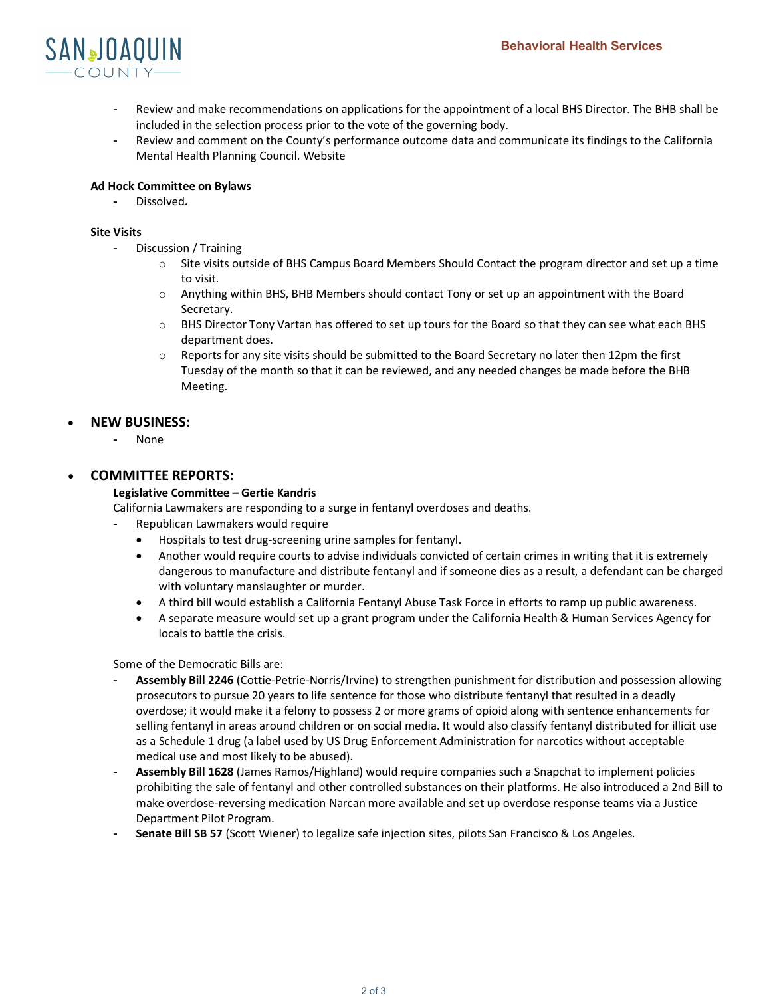

- Review and make recommendations on applications for the appointment of a local BHS Director. The BHB shall be included in the selection process prior to the vote of the governing body.
- Review and comment on the County's performance outcome data and communicate its findings to the California Mental Health Planning Council. Website

### **Ad Hock Committee on Bylaws**

- Dissolved**.**

#### **Site Visits**

- Discussion / Training
	- o Site visits outside of BHS Campus Board Members Should Contact the program director and set up a time to visit.
	- $\circ$  Anything within BHS, BHB Members should contact Tony or set up an appointment with the Board Secretary.
	- o BHS Director Tony Vartan has offered to set up tours for the Board so that they can see what each BHS department does.
	- o Reports for any site visits should be submitted to the Board Secretary no later then 12pm the first Tuesday of the month so that it can be reviewed, and any needed changes be made before the BHB Meeting.

## • **NEW BUSINESS:**

- None

### • **COMMITTEE REPORTS:**

### **Legislative Committee – Gertie Kandris**

California Lawmakers are responding to a surge in fentanyl overdoses and deaths.

- Republican Lawmakers would require
	- Hospitals to test drug-screening urine samples for fentanyl.
	- Another would require courts to advise individuals convicted of certain crimes in writing that it is extremely dangerous to manufacture and distribute fentanyl and if someone dies as a result, a defendant can be charged with voluntary manslaughter or murder.
	- A third bill would establish a California Fentanyl Abuse Task Force in efforts to ramp up public awareness.
	- A separate measure would set up a grant program under the California Health & Human Services Agency for locals to battle the crisis.

Some of the Democratic Bills are:

- Assembly Bill 2246 (Cottie-Petrie-Norris/Irvine) to strengthen punishment for distribution and possession allowing prosecutors to pursue 20 years to life sentence for those who distribute fentanyl that resulted in a deadly overdose; it would make it a felony to possess 2 or more grams of opioid along with sentence enhancements for selling fentanyl in areas around children or on social media. It would also classify fentanyl distributed for illicit use as a Schedule 1 drug (a label used by US Drug Enforcement Administration for narcotics without acceptable medical use and most likely to be abused).
- **Assembly Bill 1628** (James Ramos/Highland) would require companies such a Snapchat to implement policies prohibiting the sale of fentanyl and other controlled substances on their platforms. He also introduced a 2nd Bill to make overdose-reversing medication Narcan more available and set up overdose response teams via a Justice Department Pilot Program.
- **Senate Bill SB 57** (Scott Wiener) to legalize safe injection sites, pilots San Francisco & Los Angeles.